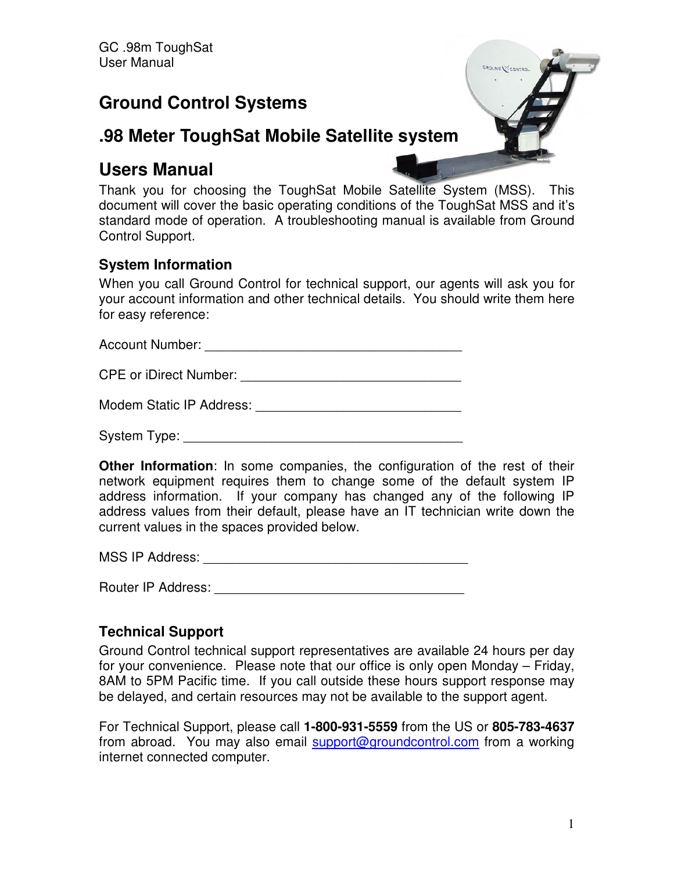# **Ground Control Systems**



# **.98 Meter ToughSat Mobile Satellite system**

# **Users Manual**

Thank you for choosing the ToughSat Mobile Satellite System (MSS). This document will cover the basic operating conditions of the ToughSat MSS and it's standard mode of operation. A troubleshooting manual is available from Ground Control Support.

## **System Information**

When you call Ground Control for technical support, our agents will ask you for your account information and other technical details. You should write them here for easy reference:

Account Number: \_\_\_\_\_\_\_\_\_\_\_\_\_\_\_\_\_\_\_\_\_\_\_\_\_\_\_\_\_\_\_\_\_\_\_

CPE or iDirect Number: \_\_\_\_\_\_\_\_\_\_\_\_\_\_\_\_\_\_\_\_\_\_\_\_\_\_\_\_\_\_

Modem Static IP Address: \_\_\_\_\_\_\_\_\_\_\_\_\_\_\_\_\_\_\_\_\_\_\_\_\_\_\_\_

System Type:

**Other Information**: In some companies, the configuration of the rest of their network equipment requires them to change some of the default system IP address information. If your company has changed any of the following IP address values from their default, please have an IT technician write down the current values in the spaces provided below.

MSS IP Address: \_\_\_\_\_\_\_\_\_\_\_\_\_\_\_\_\_\_\_\_\_\_\_\_\_\_\_\_\_\_\_\_\_\_\_\_

Router IP Address: \_\_\_\_\_\_\_\_\_\_\_\_\_\_\_\_\_\_\_\_\_\_\_\_\_\_\_\_\_\_\_\_\_\_

## **Technical Support**

Ground Control technical support representatives are available 24 hours per day for your convenience. Please note that our office is only open Monday – Friday, 8AM to 5PM Pacific time. If you call outside these hours support response may be delayed, and certain resources may not be available to the support agent.

For Technical Support, please call **1-800-931-5559** from the US or **805-783-4637** from abroad. You may also email support@groundcontrol.com from a working internet connected computer.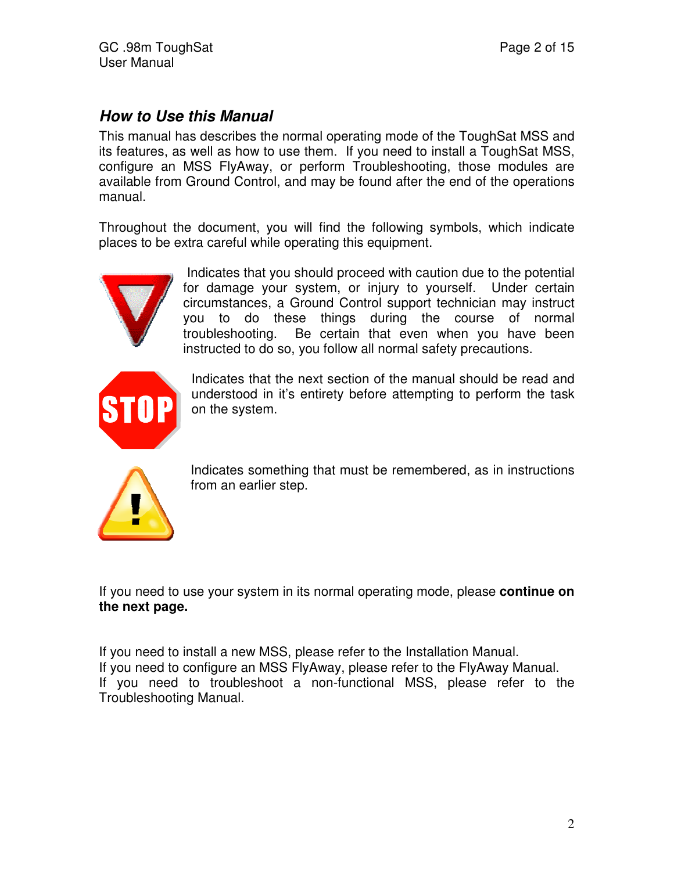## *How to Use this Manual*

This manual has describes the normal operating mode of the ToughSat MSS and its features, as well as how to use them. If you need to install a ToughSat MSS, configure an MSS FlyAway, or perform Troubleshooting, those modules are available from Ground Control, and may be found after the end of the operations manual.

Throughout the document, you will find the following symbols, which indicate places to be extra careful while operating this equipment.



 Indicates that you should proceed with caution due to the potential for damage your system, or injury to yourself. Under certain circumstances, a Ground Control support technician may instruct you to do these things during the course of normal troubleshooting. Be certain that even when you have been instructed to do so, you follow all normal safety precautions.



Indicates that the next section of the manual should be read and understood in it's entirety before attempting to perform the task on the system.



Indicates something that must be remembered, as in instructions from an earlier step.

If you need to use your system in its normal operating mode, please **continue on the next page.** 

If you need to install a new MSS, please refer to the Installation Manual. If you need to configure an MSS FlyAway, please refer to the FlyAway Manual. If you need to troubleshoot a non-functional MSS, please refer to the Troubleshooting Manual.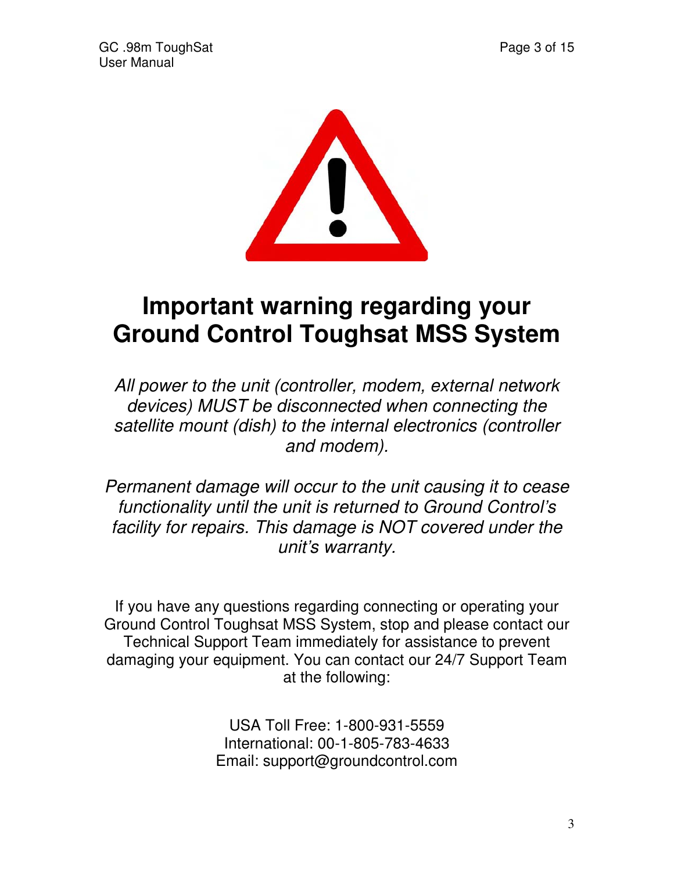

# **Important warning regarding your Ground Control Toughsat MSS System**

All power to the unit (controller, modem, external network devices) MUST be disconnected when connecting the satellite mount (dish) to the internal electronics (controller and modem).

Permanent damage will occur to the unit causing it to cease functionality until the unit is returned to Ground Control's facility for repairs. This damage is NOT covered under the unit's warranty.

If you have any questions regarding connecting or operating your Ground Control Toughsat MSS System, stop and please contact our Technical Support Team immediately for assistance to prevent damaging your equipment. You can contact our 24/7 Support Team at the following:

> USA Toll Free: 1-800-931-5559 International: 00-1-805-783-4633 Email: support@groundcontrol.com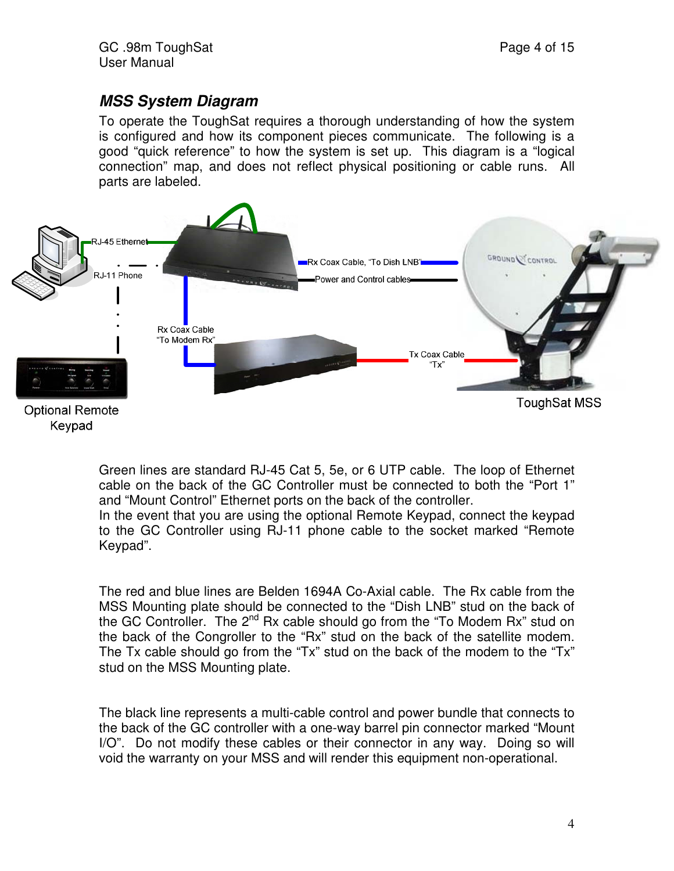## *MSS System Diagram*

To operate the ToughSat requires a thorough understanding of how the system is configured and how its component pieces communicate. The following is a good "quick reference" to how the system is set up. This diagram is a "logical connection" map, and does not reflect physical positioning or cable runs. All parts are labeled.



Green lines are standard RJ-45 Cat 5, 5e, or 6 UTP cable. The loop of Ethernet cable on the back of the GC Controller must be connected to both the "Port 1" and "Mount Control" Ethernet ports on the back of the controller.

In the event that you are using the optional Remote Keypad, connect the keypad to the GC Controller using RJ-11 phone cable to the socket marked "Remote Keypad".

The red and blue lines are Belden 1694A Co-Axial cable. The Rx cable from the MSS Mounting plate should be connected to the "Dish LNB" stud on the back of the GC Controller. The 2<sup>nd</sup> Rx cable should go from the "To Modem Rx" stud on the back of the Congroller to the "Rx" stud on the back of the satellite modem. The Tx cable should go from the "Tx" stud on the back of the modem to the "Tx" stud on the MSS Mounting plate.

The black line represents a multi-cable control and power bundle that connects to the back of the GC controller with a one-way barrel pin connector marked "Mount I/O". Do not modify these cables or their connector in any way. Doing so will void the warranty on your MSS and will render this equipment non-operational.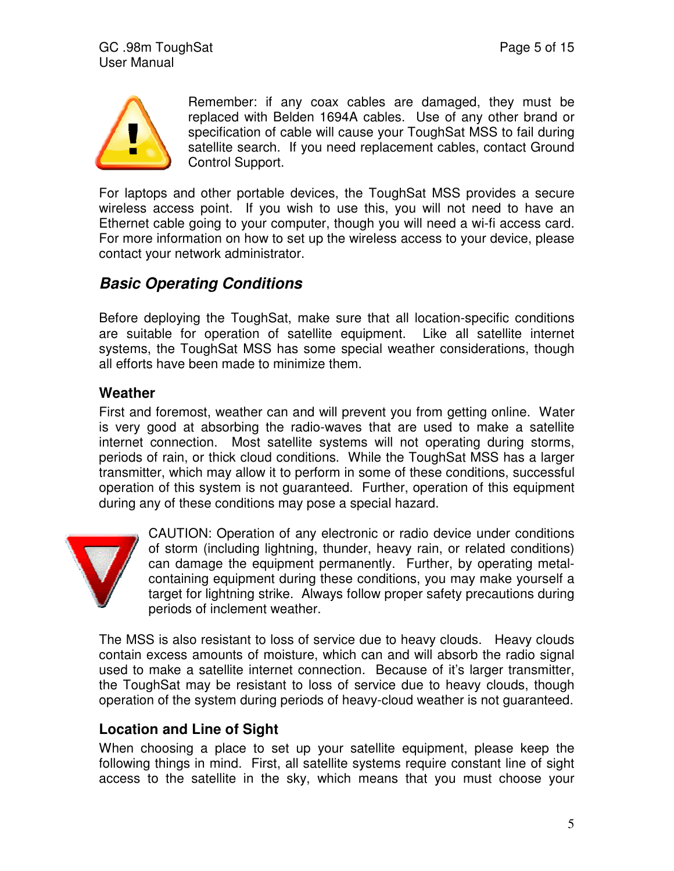

Remember: if any coax cables are damaged, they must be replaced with Belden 1694A cables. Use of any other brand or specification of cable will cause your ToughSat MSS to fail during satellite search. If you need replacement cables, contact Ground Control Support.

For laptops and other portable devices, the ToughSat MSS provides a secure wireless access point. If you wish to use this, you will not need to have an Ethernet cable going to your computer, though you will need a wi-fi access card. For more information on how to set up the wireless access to your device, please contact your network administrator.

## *Basic Operating Conditions*

Before deploying the ToughSat, make sure that all location-specific conditions are suitable for operation of satellite equipment. Like all satellite internet systems, the ToughSat MSS has some special weather considerations, though all efforts have been made to minimize them.

#### **Weather**

First and foremost, weather can and will prevent you from getting online. Water is very good at absorbing the radio-waves that are used to make a satellite internet connection. Most satellite systems will not operating during storms, periods of rain, or thick cloud conditions. While the ToughSat MSS has a larger transmitter, which may allow it to perform in some of these conditions, successful operation of this system is not guaranteed. Further, operation of this equipment during any of these conditions may pose a special hazard.



CAUTION: Operation of any electronic or radio device under conditions of storm (including lightning, thunder, heavy rain, or related conditions) can damage the equipment permanently. Further, by operating metalcontaining equipment during these conditions, you may make yourself a target for lightning strike. Always follow proper safety precautions during periods of inclement weather.

The MSS is also resistant to loss of service due to heavy clouds. Heavy clouds contain excess amounts of moisture, which can and will absorb the radio signal used to make a satellite internet connection. Because of it's larger transmitter, the ToughSat may be resistant to loss of service due to heavy clouds, though operation of the system during periods of heavy-cloud weather is not guaranteed.

#### **Location and Line of Sight**

When choosing a place to set up your satellite equipment, please keep the following things in mind. First, all satellite systems require constant line of sight access to the satellite in the sky, which means that you must choose your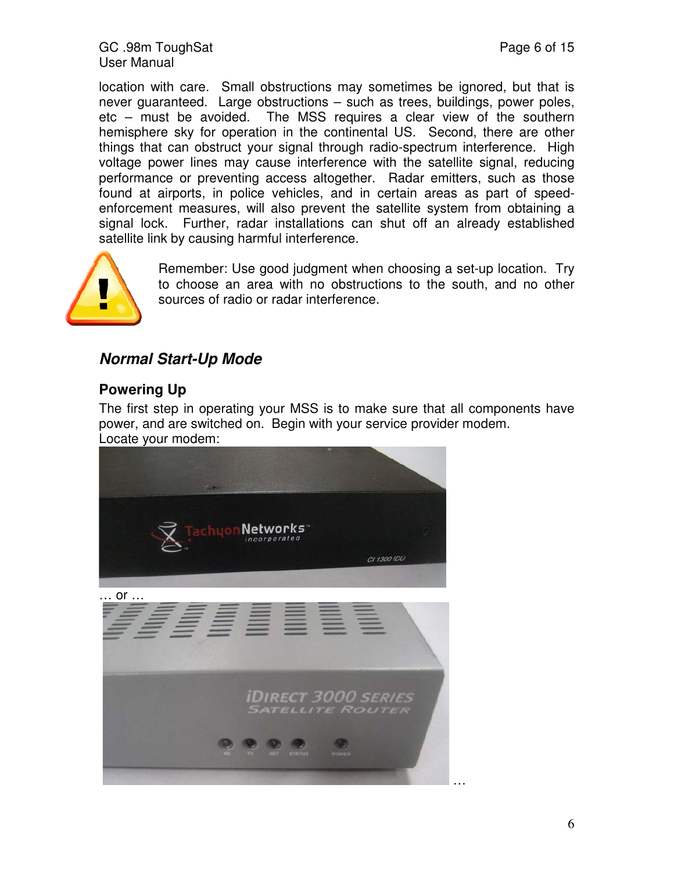location with care. Small obstructions may sometimes be ignored, but that is never guaranteed. Large obstructions – such as trees, buildings, power poles, etc – must be avoided. The MSS requires a clear view of the southern hemisphere sky for operation in the continental US. Second, there are other things that can obstruct your signal through radio-spectrum interference. High voltage power lines may cause interference with the satellite signal, reducing performance or preventing access altogether. Radar emitters, such as those found at airports, in police vehicles, and in certain areas as part of speedenforcement measures, will also prevent the satellite system from obtaining a signal lock. Further, radar installations can shut off an already established satellite link by causing harmful interference.



Remember: Use good judgment when choosing a set-up location. Try to choose an area with no obstructions to the south, and no other sources of radio or radar interference.

## *Normal Start-Up Mode*

#### **Powering Up**

The first step in operating your MSS is to make sure that all components have power, and are switched on. Begin with your service provider modem. Locate your modem:



… or …

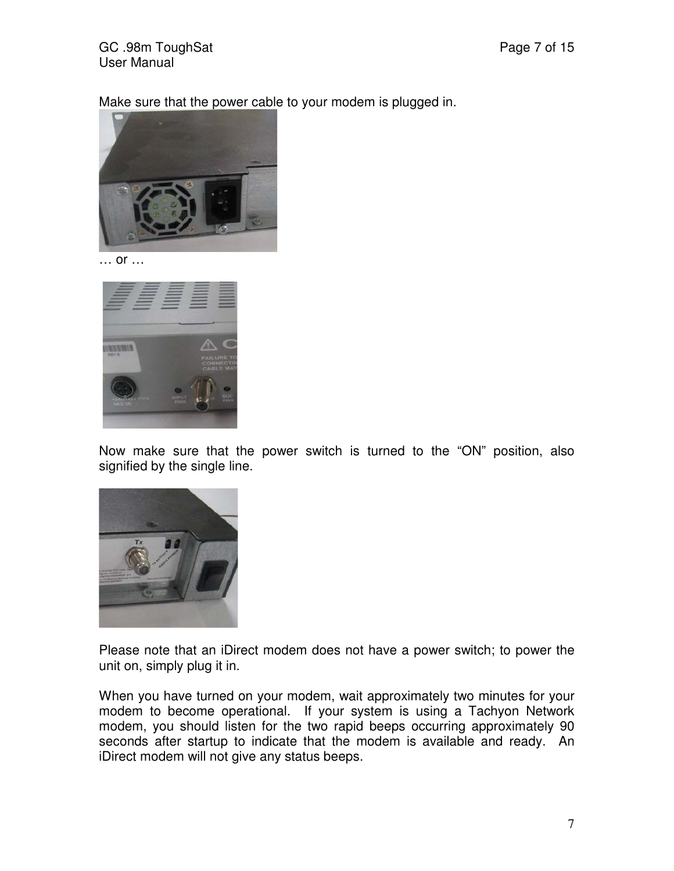Make sure that the power cable to your modem is plugged in.



… or …



Now make sure that the power switch is turned to the "ON" position, also signified by the single line.



Please note that an iDirect modem does not have a power switch; to power the unit on, simply plug it in.

When you have turned on your modem, wait approximately two minutes for your modem to become operational. If your system is using a Tachyon Network modem, you should listen for the two rapid beeps occurring approximately 90 seconds after startup to indicate that the modem is available and ready. An iDirect modem will not give any status beeps.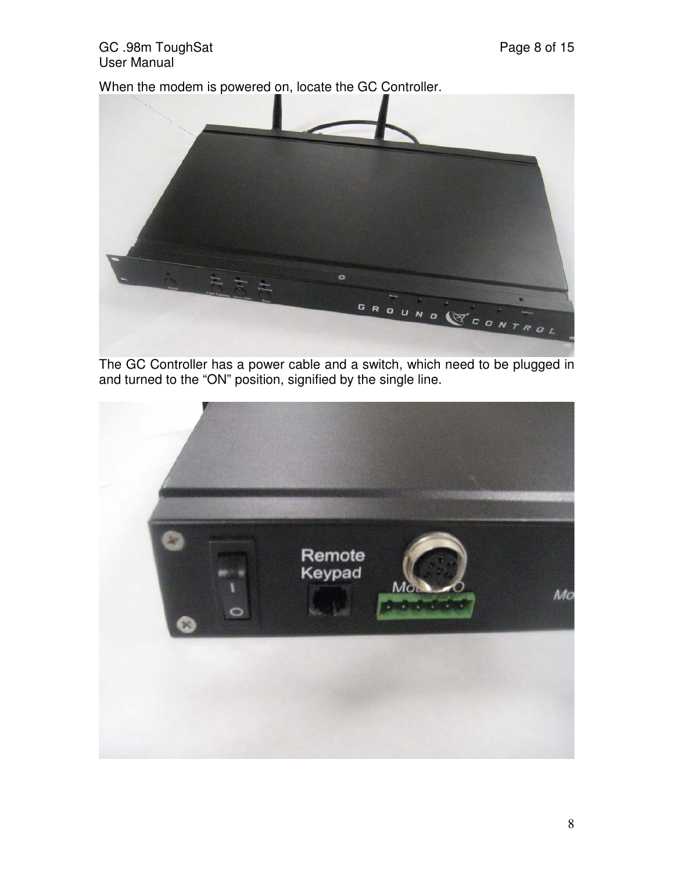#### GC .98m ToughSat **Page 8 of 15** User Manual

When the modem is powered on, locate the GC Controller.



The GC Controller has a power cable and a switch, which need to be plugged in and turned to the "ON" position, signified by the single line.

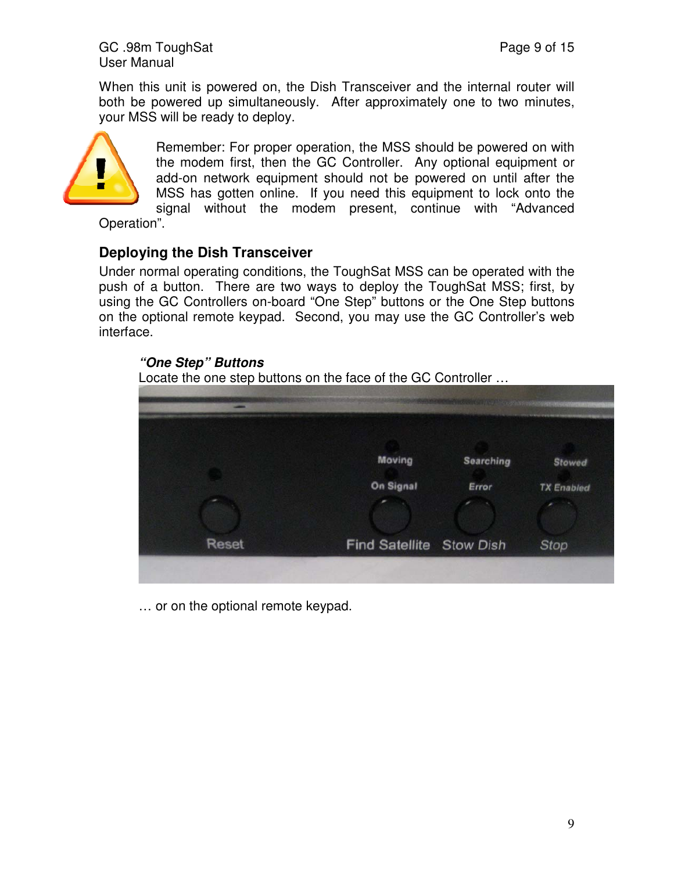GC .98m ToughSat **Page 9 of 15** User Manual

When this unit is powered on, the Dish Transceiver and the internal router will both be powered up simultaneously. After approximately one to two minutes, your MSS will be ready to deploy.



Remember: For proper operation, the MSS should be powered on with the modem first, then the GC Controller. Any optional equipment or add-on network equipment should not be powered on until after the MSS has gotten online. If you need this equipment to lock onto the signal without the modem present, continue with "Advanced

Operation".

#### **Deploying the Dish Transceiver**

Under normal operating conditions, the ToughSat MSS can be operated with the push of a button. There are two ways to deploy the ToughSat MSS; first, by using the GC Controllers on-board "One Step" buttons or the One Step buttons on the optional remote keypad. Second, you may use the GC Controller's web interface.

# *"One Step" Buttons*  Locate the one step buttons on the face of the GC Controller … Moving **Searching Stowed** On Signal Error **TX Enabled Reset** Find Satellite Stow Dish **Stop**

… or on the optional remote keypad.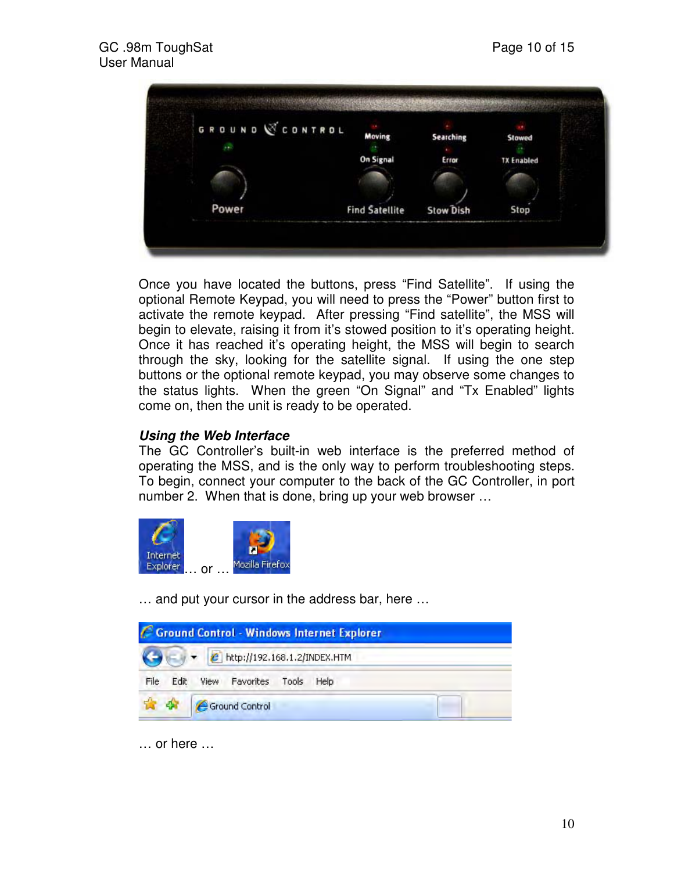

Once you have located the buttons, press "Find Satellite". If using the optional Remote Keypad, you will need to press the "Power" button first to activate the remote keypad. After pressing "Find satellite", the MSS will begin to elevate, raising it from it's stowed position to it's operating height. Once it has reached it's operating height, the MSS will begin to search through the sky, looking for the satellite signal. If using the one step buttons or the optional remote keypad, you may observe some changes to the status lights. When the green "On Signal" and "Tx Enabled" lights come on, then the unit is ready to be operated.

#### *Using the Web Interface*

The GC Controller's built-in web interface is the preferred method of operating the MSS, and is the only way to perform troubleshooting steps. To begin, connect your computer to the back of the GC Controller, in port number 2. When that is done, bring up your web browser …



… and put your cursor in the address bar, here …

|              |                                                     | C Ground Control - Windows Internet Explorer |  |
|--------------|-----------------------------------------------------|----------------------------------------------|--|
|              | $\leftarrow$ $\bullet$ http://192.168.1.2/INDEX.HTM |                                              |  |
| File<br>Edit | View Favorites Tools Help                           |                                              |  |
|              | Ground Control                                      |                                              |  |

… or here …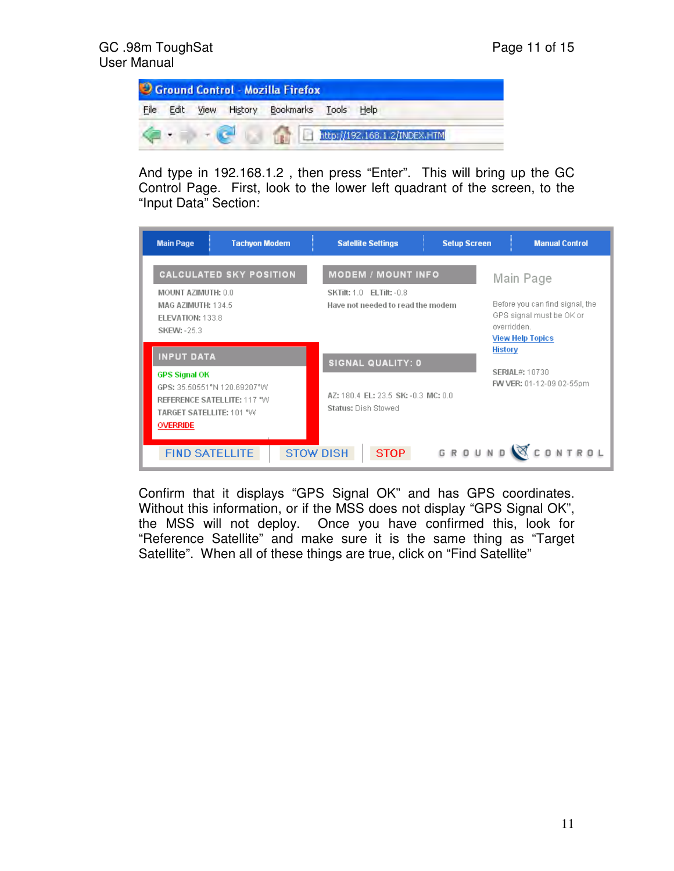

And type in 192.168.1.2 , then press "Enter". This will bring up the GC Control Page. First, look to the lower left quadrant of the screen, to the "Input Data" Section:

| <b>Tachyon Modem</b><br><b>Main Page</b>                                                                                                               | <b>Setup Screen</b><br><b>Satellite Settings</b>                                                  | <b>Manual Control</b>                                                                                             |  |
|--------------------------------------------------------------------------------------------------------------------------------------------------------|---------------------------------------------------------------------------------------------------|-------------------------------------------------------------------------------------------------------------------|--|
| <b>CALCULATED SKY POSITION</b><br>MOUNT AZIMUTH: 0.0<br>MAG AZIMUTH: 134.5<br>ELEVATION: 133.8<br><b>SKEW: -25.3</b>                                   | <b>MODEM / MOUNT INFO</b><br><b>SKTilt: 1.0 ELTilt: -0.8</b><br>Have not needed to read the modem | Main Page<br>Before you can find signal, the<br>GPS signal must be OK or<br>overridden<br><b>View Help Topics</b> |  |
| <b>INPUT DATA</b><br><b>GPS Signal OK</b><br>GPS: 35.50551"N 120.69207"W<br>REFERENCE SATELLITE: 117 "W<br>TARGET SATELLITE: 101 "W<br><b>OVERRIDE</b> | SIGNAL QUALITY: 0<br>AZ: 180.4 FL: 23.5 SK: -0.3 MC: 0.0<br>Status: Dish Stowed                   | <b>History</b><br><b>SERIAL#: 10730</b><br>FW VER: 01-12-09 02-55pm                                               |  |
| <b>FIND SATELLITE</b>                                                                                                                                  | <b>STOW DISH</b><br><b>STOP</b>                                                                   | GROUND CONTROL                                                                                                    |  |

Confirm that it displays "GPS Signal OK" and has GPS coordinates. Without this information, or if the MSS does not display "GPS Signal OK", the MSS will not deploy. Once you have confirmed this, look for "Reference Satellite" and make sure it is the same thing as "Target Satellite". When all of these things are true, click on "Find Satellite"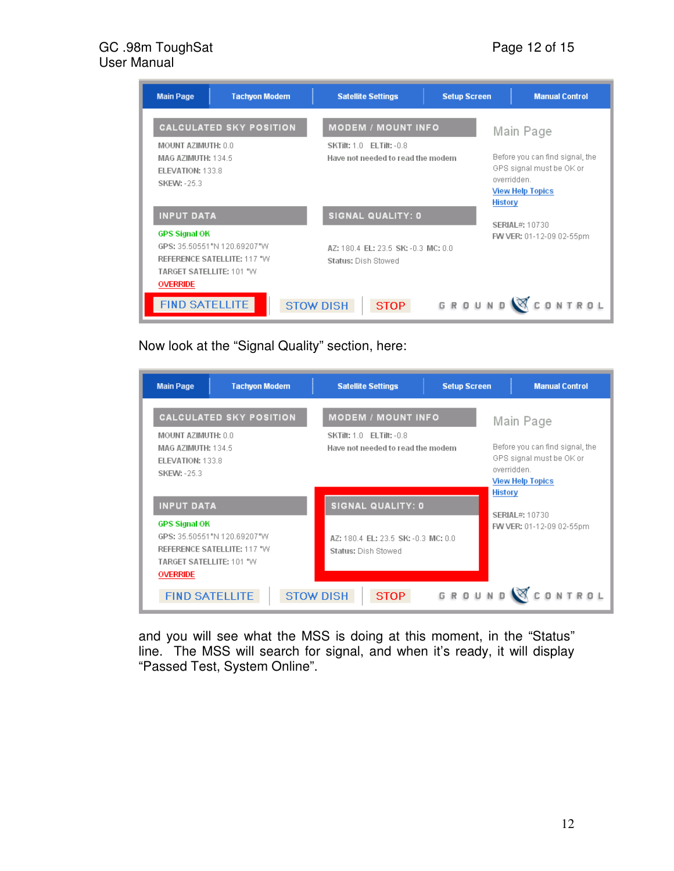#### GC .98m ToughSat **Page 12 of 15** User Manual

| <b>Tachyon Modem</b><br><b>Main Page</b>                                                                                          | <b>Satellite Settings</b>                                            | <b>Setup Screen</b>                                                                                                    | <b>Manual Control</b>    |
|-----------------------------------------------------------------------------------------------------------------------------------|----------------------------------------------------------------------|------------------------------------------------------------------------------------------------------------------------|--------------------------|
| <b>CALCULATED SKY POSITION</b>                                                                                                    | <b>MODEM / MOUNT INFO</b>                                            |                                                                                                                        | Main Page                |
| MOUNT AZIMUTH: 0.0<br>MAG AZIMUTH: 134.5<br><b>ELEVATION: 133.8</b><br><b>SKEW: -25.3</b>                                         | <b>SKTilt: 1.0 ELTilt: -0.8</b><br>Have not needed to read the modem | Before you can find signal, the<br>GPS signal must be OK or<br>overridden<br><b>View Help Topics</b><br><b>History</b> |                          |
| <b>INPUT DATA</b>                                                                                                                 | SIGNAL QUALITY: 0                                                    |                                                                                                                        | <b>SERIAL#: 10730</b>    |
| <b>GPS Signal OK</b><br>GPS: 35.50551"N 120.69207"W<br>REFERENCE SATELLITE: 117 °W<br>TARGET SATELLITE: 101 "W<br><b>OVERRIDE</b> | AZ: 180.4 EL: 23.5 SK: -0.3 MC: 0.0<br>Status: Dish Stowed           |                                                                                                                        | FW VER: 01-12-09 02-55pm |
| <b>FIND SATELLITE</b>                                                                                                             | <b>STOW DISH</b><br><b>STOP</b>                                      | GROUND                                                                                                                 | <b>CONTROL</b>           |

Now look at the "Signal Quality" section, here:

| <b>Main Page</b>                                                                                                     | <b>Tachyon Modem</b>                                       |  | <b>Satellite Settings</b>                                                                                                 | <b>Setup Screen</b> |  | <b>Manual Control</b>                                                                                                               |  |  |
|----------------------------------------------------------------------------------------------------------------------|------------------------------------------------------------|--|---------------------------------------------------------------------------------------------------------------------------|---------------------|--|-------------------------------------------------------------------------------------------------------------------------------------|--|--|
| <b>CALCULATED SKY POSITION</b><br>MOUNT AZIMUTH: 0.0<br>MAG AZIMUTH: 134.5<br>ELEVATION: 133.8<br><b>SKEW: -25.3</b> |                                                            |  | <b>MODEM / MOUNT INFO</b><br><b>SKTilt: 1.0 ELTilt: -0.8</b><br>Have not needed to read the modem                         |                     |  | Main Page<br>Before you can find signal, the<br>GPS signal must be OK or<br>overridden<br><b>View Help Topics</b><br><b>History</b> |  |  |
| <b>INPUT DATA</b><br><b>GPS Signal OK</b><br>TARGET SATELLITE: 101 "W<br><b>OVERRIDE</b><br><b>FIND SATELLITE</b>    | GPS: 35.50551"N 120.69207"W<br>REFERENCE SATELLITE: 117 °W |  | <b>SIGNAL QUALITY: 0</b><br>AZ: 180.4 EL: 23.5 SK: -0.3 MC: 0.0<br>Status: Dish Stowed<br><b>STOW DISH</b><br><b>STOP</b> | GROUN               |  | <b>SERIAL#: 10730</b><br>FW VER: 01-12-09 02-55pm<br>CONTROL                                                                        |  |  |

and you will see what the MSS is doing at this moment, in the "Status" line. The MSS will search for signal, and when it's ready, it will display "Passed Test, System Online".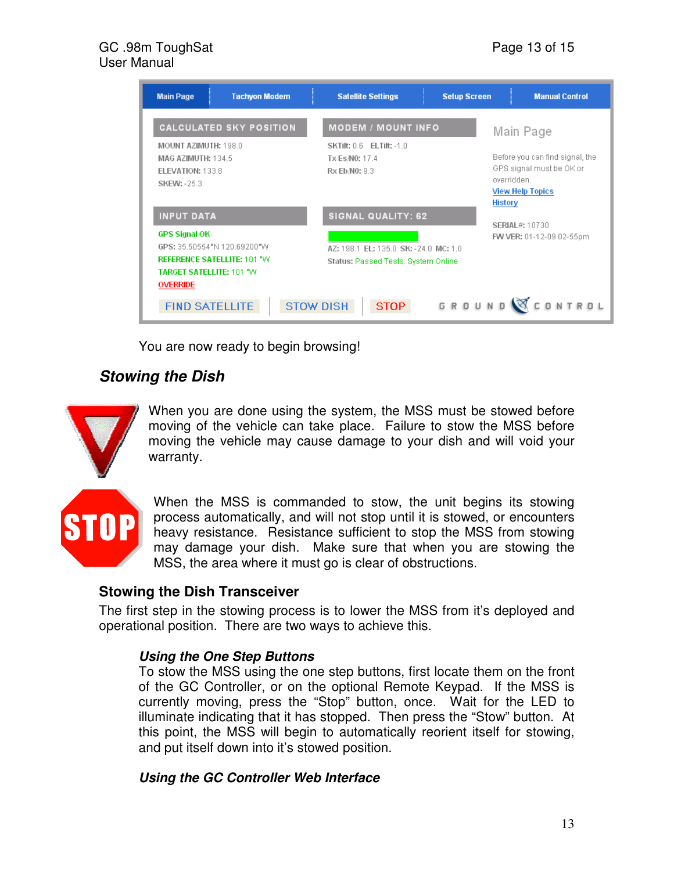#### GC .98m ToughSat **Page 13 of 15** User Manual

| <b>Main Page</b>                                                                                | <b>Tachyon Modem</b>                                              | <b>Satellite Settings</b>                                                                                 | <b>Setup Screen</b> | <b>Manual Control</b>                                                                                                  |
|-------------------------------------------------------------------------------------------------|-------------------------------------------------------------------|-----------------------------------------------------------------------------------------------------------|---------------------|------------------------------------------------------------------------------------------------------------------------|
|                                                                                                 | <b>CALCULATED SKY POSITION</b>                                    | <b>MODEM / MOUNT INFO</b>                                                                                 |                     | Main Page                                                                                                              |
| <b>MOUNT AZIMUTH: 198.0</b><br>MAG AZIMUTH: 134.5<br>FLEVATION: 133.8<br><b>SKEW: -25.3</b>     |                                                                   | <b>SKTilt: 0.6 ELTilt: -1.0</b><br>Tx Es/N0: 17.4<br>Rx Eb/N0: 9.3                                        |                     | Before you can find signal, the<br>GPS signal must be OK or<br>overridden<br><b>View Help Topics</b><br><b>History</b> |
| <b>INPUT DATA</b><br><b>GPS Signal OK</b><br><b>TARGET SATELLITE: 101 °W</b><br><b>OVERRIDE</b> | GPS: 35 50554°N 120 89200°W<br><b>REFERENCE SATELLITE: 101 "W</b> | <b>SIGNAL QUALITY: 62</b><br>AZ: 198.1 EL: 135.0 SK: -24.0 MC: 1.0<br>Status: Passed Tests: System Online |                     | <b>SERIAL#: 10730</b><br>FW VER: 01-12-09 02-55pm                                                                      |
| <b>FIND SATELLITE</b>                                                                           | <b>STOW DISH</b>                                                  | <b>STOP</b>                                                                                               | GROUN               | CONTROL                                                                                                                |

You are now ready to begin browsing!

## *Stowing the Dish*



When you are done using the system, the MSS must be stowed before moving of the vehicle can take place. Failure to stow the MSS before moving the vehicle may cause damage to your dish and will void your warranty.

When the MSS is commanded to stow, the unit begins its stowing process automatically, and will not stop until it is stowed, or encounters heavy resistance. Resistance sufficient to stop the MSS from stowing may damage your dish. Make sure that when you are stowing the MSS, the area where it must go is clear of obstructions.

#### **Stowing the Dish Transceiver**

The first step in the stowing process is to lower the MSS from it's deployed and operational position. There are two ways to achieve this.

#### *Using the One Step Buttons*

To stow the MSS using the one step buttons, first locate them on the front of the GC Controller, or on the optional Remote Keypad. If the MSS is currently moving, press the "Stop" button, once. Wait for the LED to illuminate indicating that it has stopped. Then press the "Stow" button. At this point, the MSS will begin to automatically reorient itself for stowing, and put itself down into it's stowed position.

#### *Using the GC Controller Web Interface*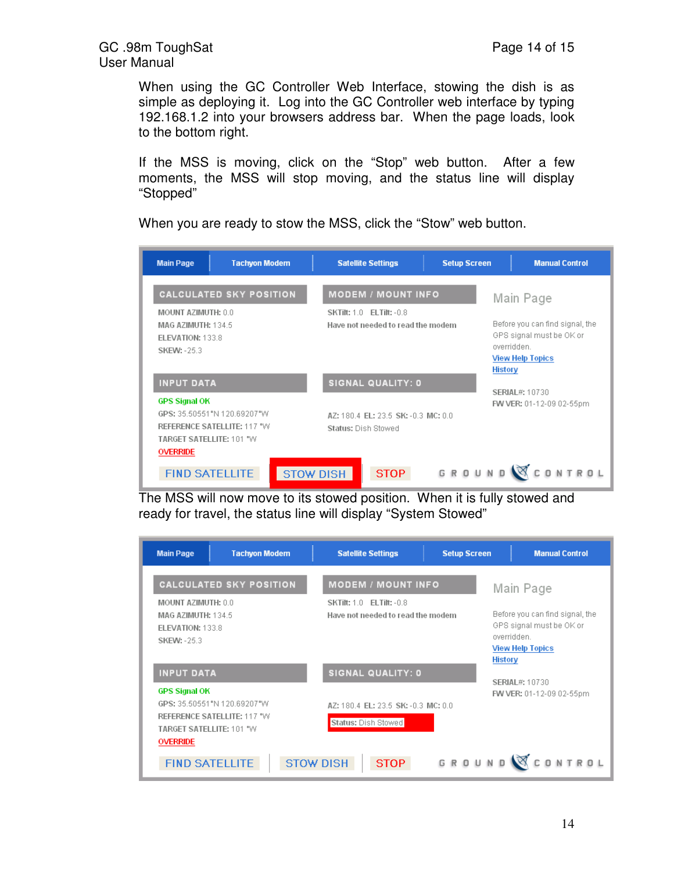When using the GC Controller Web Interface, stowing the dish is as simple as deploying it. Log into the GC Controller web interface by typing 192.168.1.2 into your browsers address bar. When the page loads, look to the bottom right.

If the MSS is moving, click on the "Stop" web button. After a few moments, the MSS will stop moving, and the status line will display "Stopped"

When you are ready to stow the MSS, click the "Stow" web button.

| <b>Main Page</b>                                                                                                            | <b>Tachyon Modem</b>                                       |                  |                                                                                                   | <b>Satellite Settings</b>           |  | <b>Setup Screen</b> |                                                                                                                    | <b>Manual Control</b>    |  |
|-----------------------------------------------------------------------------------------------------------------------------|------------------------------------------------------------|------------------|---------------------------------------------------------------------------------------------------|-------------------------------------|--|---------------------|--------------------------------------------------------------------------------------------------------------------|--------------------------|--|
| <b>CALCULATED SKY POSITION</b><br>MOUNT AZIMUTH: 0.0<br>MAG AZIMUTH: 134.5<br><b>ELEVATION: 133.8</b><br><b>SKEW: -25.3</b> |                                                            |                  | <b>MODEM / MOUNT INFO</b><br><b>SKTilt: 1.0 ELTilt: -0.8</b><br>Have not needed to read the modem |                                     |  |                     | Main Page<br>Before you can find signal, the<br>GPS signal must be OK or<br>overridden.<br><b>View Help Topics</b> |                          |  |
| <b>INPUT DATA</b>                                                                                                           |                                                            |                  |                                                                                                   | <b>SIGNAL QUALITY: 0</b>            |  |                     | <b>History</b><br>SERIAL#: 10730                                                                                   |                          |  |
| <b>GPS Signal OK</b><br>TARGET SATELLITE: 101 "W<br><b>OVERRIDE</b>                                                         | GPS: 35.50551"N 120.69207"W<br>REFERENCE SATELLITE: 117 °W |                  | Status: Dish Stowed                                                                               | AZ: 180.4 EL: 23.5 SK: -0.3 MC: 0.0 |  |                     |                                                                                                                    | FW VER: 01-12-09 02-55pm |  |
| <b>FIND SATELLITE</b>                                                                                                       |                                                            | <b>STOW DISH</b> |                                                                                                   | <b>STOP</b>                         |  | GROUN               |                                                                                                                    | ONTROL                   |  |

The MSS will now move to its stowed position. When it is fully stowed and ready for travel, the status line will display "System Stowed"

| <b>Main Page</b>                                                                          | <b>Tachyon Modem</b>                                       | <b>Satellite Settings</b>                                            | <b>Setup Screen</b> | <b>Manual Control</b>                                                                                                  |
|-------------------------------------------------------------------------------------------|------------------------------------------------------------|----------------------------------------------------------------------|---------------------|------------------------------------------------------------------------------------------------------------------------|
|                                                                                           | <b>CALCULATED SKY POSITION</b>                             | <b>MODEM / MOUNT INFO</b>                                            |                     | Main Page                                                                                                              |
| MOUNT AZIMUTH: 0.0<br>MAG AZIMUTH: 134.5<br><b>ELEVATION: 133.8</b><br><b>SKEW: -25.3</b> |                                                            | <b>SKTilt: 1.0 ELTilt: -0.8</b><br>Have not needed to read the modem |                     | Before you can find signal, the<br>GPS signal must be OK or<br>overridden<br><b>View Help Topics</b><br><b>History</b> |
| <b>INPUT DATA</b>                                                                         |                                                            | <b>SIGNAL QUALITY: 0</b>                                             |                     | SERIAL#: 10730                                                                                                         |
| <b>GPS Signal OK</b><br><b>TARGET SATELLITE: 101 "W</b><br><b>OVERRIDE</b>                | GPS: 35.50551"N 120.69207"W<br>REFERENCE SATELLITE: 117 °W | AZ: 180.4 EL: 23.5 SK: -0.3 MC: 0.0<br>Status: Dish Stowed           |                     | FW VER: 01-12-09 02-55pm                                                                                               |
| <b>FIND SATELLITE</b>                                                                     |                                                            | <b>STOW DISH</b><br><b>STOP</b>                                      | GROUND              |                                                                                                                        |